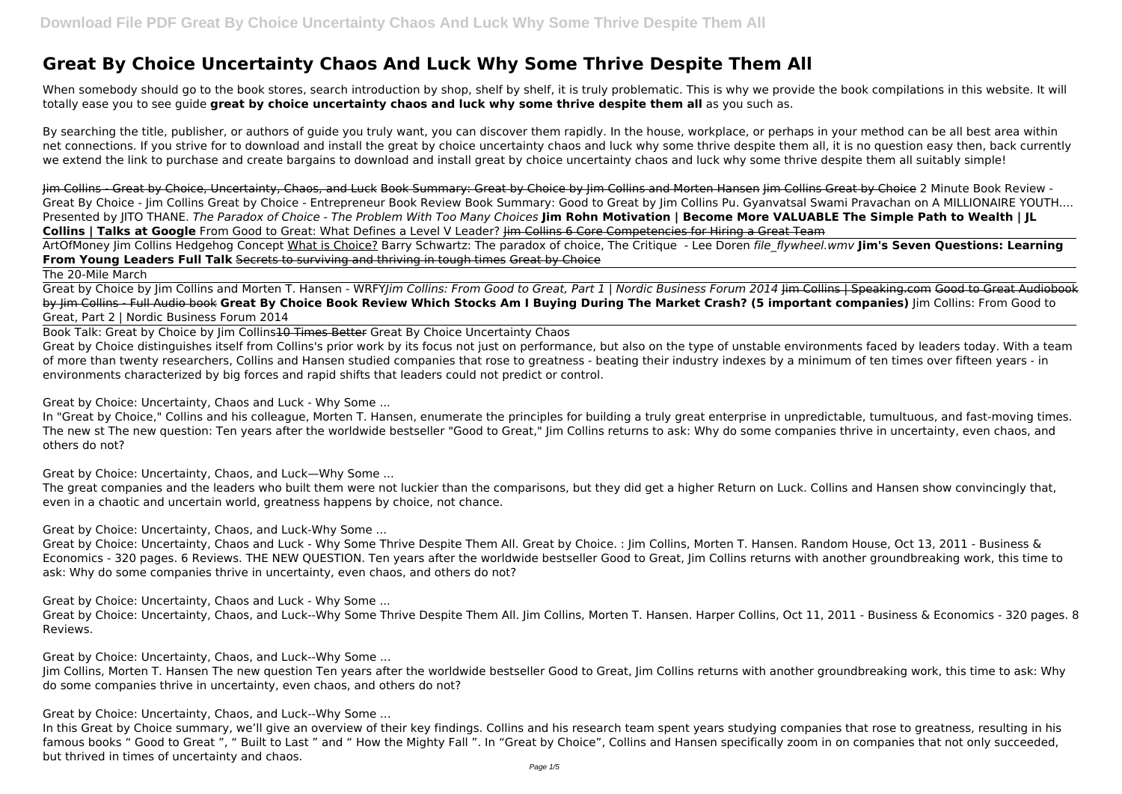## **Great By Choice Uncertainty Chaos And Luck Why Some Thrive Despite Them All**

When somebody should go to the book stores, search introduction by shop, shelf by shelf, it is truly problematic. This is why we provide the book compilations in this website. It will totally ease you to see guide **great by choice uncertainty chaos and luck why some thrive despite them all** as you such as.

By searching the title, publisher, or authors of guide you truly want, you can discover them rapidly. In the house, workplace, or perhaps in your method can be all best area within net connections. If you strive for to download and install the great by choice uncertainty chaos and luck why some thrive despite them all, it is no question easy then, back currently we extend the link to purchase and create bargains to download and install great by choice uncertainty chaos and luck why some thrive despite them all suitably simple!

Great by Choice by Jim Collins and Morten T. Hansen - WRFY*Jim Collins: From Good to Great, Part 1* | Nordic Business Forum 2014 Hm Collins | Speaking.com Good to Great Audiobook by Jim Collins - Full Audio book **Great By Choice Book Review Which Stocks Am I Buying During The Market Crash? (5 important companies)** Jim Collins: From Good to Great, Part 2 | Nordic Business Forum 2014

Jim Collins - Great by Choice, Uncertainty, Chaos, and Luck Book Summary: Great by Choice by Jim Collins and Morten Hansen Jim Collins Great by Choice 2 Minute Book Review - Great By Choice - Jim Collins Great by Choice - Entrepreneur Book Review Book Summary: Good to Great by Jim Collins Pu. Gyanvatsal Swami Pravachan on A MILLIONAIRE YOUTH.... Presented by JITO THANE. *The Paradox of Choice - The Problem With Too Many Choices* **Jim Rohn Motivation | Become More VALUABLE The Simple Path to Wealth | JL Collins | Talks at Google** From Good to Great: What Defines a Level V Leader? Jim Collins 6 Core Competencies for Hiring a Great Team ArtOfMoney Jim Collins Hedgehog Concept What is Choice? Barry Schwartz: The paradox of choice, The Critique - Lee Doren *file\_flywheel.wmv* **Jim's Seven Questions: Learning**

**From Young Leaders Full Talk** Secrets to surviving and thriving in tough times Great by Choice

The 20-Mile March

Great by Choice: Uncertainty, Chaos, and Luck--Why Some Thrive Despite Them All. Jim Collins, Morten T. Hansen. Harper Collins, Oct 11, 2011 - Business & Economics - 320 pages. 8 Reviews.

Book Talk: Great by Choice by Jim Collins10 Times Better Great By Choice Uncertainty Chaos Great by Choice distinguishes itself from Collins's prior work by its focus not just on performance, but also on the type of unstable environments faced by leaders today. With a team of more than twenty researchers, Collins and Hansen studied companies that rose to greatness - beating their industry indexes by a minimum of ten times over fifteen years - in environments characterized by big forces and rapid shifts that leaders could not predict or control.

Great by Choice: Uncertainty, Chaos and Luck - Why Some ...

In "Great by Choice," Collins and his colleague, Morten T. Hansen, enumerate the principles for building a truly great enterprise in unpredictable, tumultuous, and fast-moving times. The new st The new question: Ten years after the worldwide bestseller "Good to Great," Jim Collins returns to ask: Why do some companies thrive in uncertainty, even chaos, and others do not?

Great by Choice: Uncertainty, Chaos, and Luck—Why Some ...

The great companies and the leaders who built them were not luckier than the comparisons, but they did get a higher Return on Luck. Collins and Hansen show convincingly that, even in a chaotic and uncertain world, greatness happens by choice, not chance.

Great by Choice: Uncertainty, Chaos, and Luck-Why Some ...

Great by Choice: Uncertainty, Chaos and Luck - Why Some Thrive Despite Them All. Great by Choice. : Jim Collins, Morten T. Hansen. Random House, Oct 13, 2011 - Business & Economics - 320 pages. 6 Reviews. THE NEW QUESTION. Ten years after the worldwide bestseller Good to Great, Jim Collins returns with another groundbreaking work, this time to ask: Why do some companies thrive in uncertainty, even chaos, and others do not?

Great by Choice: Uncertainty, Chaos and Luck - Why Some ...

Great by Choice: Uncertainty, Chaos, and Luck--Why Some ...

Jim Collins, Morten T. Hansen The new question Ten years after the worldwide bestseller Good to Great, Jim Collins returns with another groundbreaking work, this time to ask: Why do some companies thrive in uncertainty, even chaos, and others do not?

Great by Choice: Uncertainty, Chaos, and Luck--Why Some ...

In this Great by Choice summary, we'll give an overview of their key findings. Collins and his research team spent years studying companies that rose to greatness, resulting in his famous books " Good to Great ", " Built to Last " and " How the Mighty Fall ". In "Great by Choice", Collins and Hansen specifically zoom in on companies that not only succeeded, but thrived in times of uncertainty and chaos.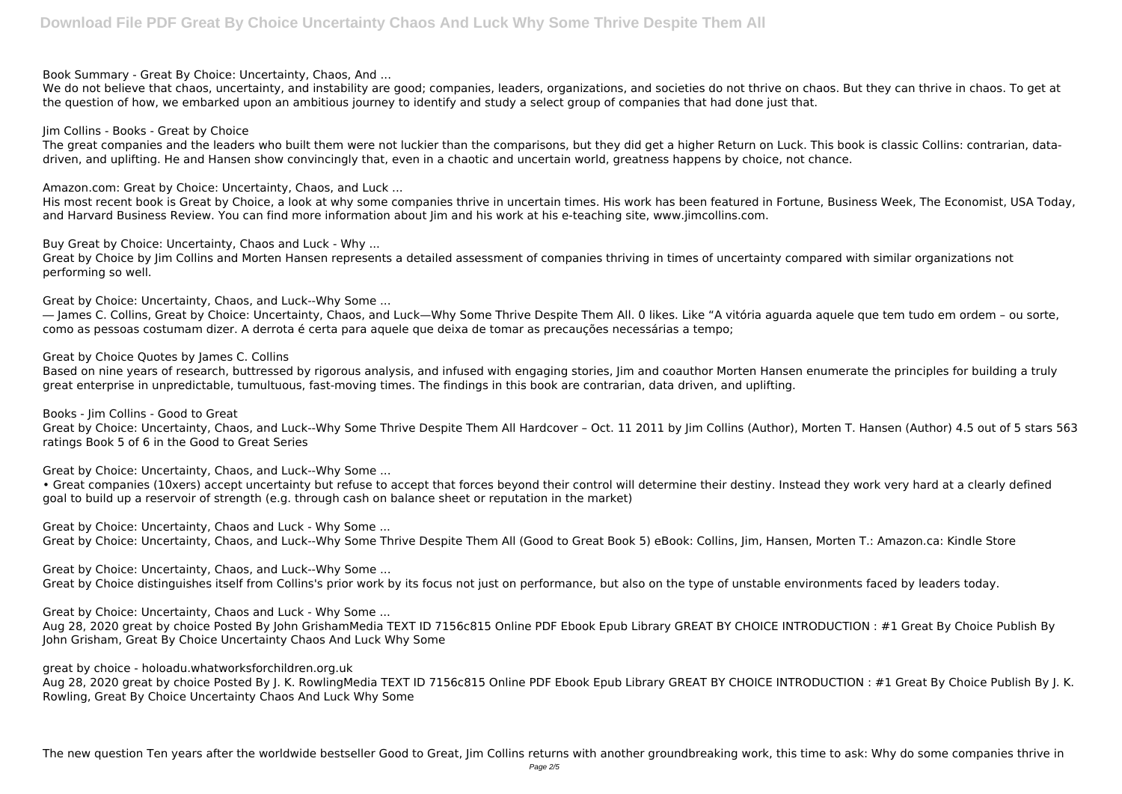Book Summary - Great By Choice: Uncertainty, Chaos, And ...

We do not believe that chaos, uncertainty, and instability are good; companies, leaders, organizations, and societies do not thrive on chaos. But they can thrive in chaos. To get at the question of how, we embarked upon an ambitious journey to identify and study a select group of companies that had done just that.

## Jim Collins - Books - Great by Choice

The great companies and the leaders who built them were not luckier than the comparisons, but they did get a higher Return on Luck. This book is classic Collins: contrarian, datadriven, and uplifting. He and Hansen show convincingly that, even in a chaotic and uncertain world, greatness happens by choice, not chance.

Amazon.com: Great by Choice: Uncertainty, Chaos, and Luck ...

His most recent book is Great by Choice, a look at why some companies thrive in uncertain times. His work has been featured in Fortune, Business Week, The Economist, USA Today, and Harvard Business Review. You can find more information about Jim and his work at his e-teaching site, www.jimcollins.com.

Based on nine years of research, buttressed by rigorous analysis, and infused with engaging stories, Jim and coauthor Morten Hansen enumerate the principles for building a truly great enterprise in unpredictable, tumultuous, fast-moving times. The findings in this book are contrarian, data driven, and uplifting.

Buy Great by Choice: Uncertainty, Chaos and Luck - Why ...

Great by Choice by Jim Collins and Morten Hansen represents a detailed assessment of companies thriving in times of uncertainty compared with similar organizations not performing so well.

Great by Choice: Uncertainty, Chaos, and Luck--Why Some ...

― James C. Collins, Great by Choice: Uncertainty, Chaos, and Luck—Why Some Thrive Despite Them All. 0 likes. Like "A vitória aguarda aquele que tem tudo em ordem – ou sorte, como as pessoas costumam dizer. A derrota é certa para aquele que deixa de tomar as precauções necessárias a tempo;

Great by Choice Quotes by James C. Collins

Books - Jim Collins - Good to Great

Great by Choice: Uncertainty, Chaos, and Luck--Why Some Thrive Despite Them All Hardcover – Oct. 11 2011 by Jim Collins (Author), Morten T. Hansen (Author) 4.5 out of 5 stars 563 ratings Book 5 of 6 in the Good to Great Series

Great by Choice: Uncertainty, Chaos, and Luck--Why Some ...

• Great companies (10xers) accept uncertainty but refuse to accept that forces beyond their control will determine their destiny. Instead they work very hard at a clearly defined goal to build up a reservoir of strength (e.g. through cash on balance sheet or reputation in the market)

Great by Choice: Uncertainty, Chaos and Luck - Why Some ... Great by Choice: Uncertainty, Chaos, and Luck--Why Some Thrive Despite Them All (Good to Great Book 5) eBook: Collins, Jim, Hansen, Morten T.: Amazon.ca: Kindle Store

Great by Choice: Uncertainty, Chaos, and Luck--Why Some ... Great by Choice distinguishes itself from Collins's prior work by its focus not just on performance, but also on the type of unstable environments faced by leaders today.

Great by Choice: Uncertainty, Chaos and Luck - Why Some ...

Aug 28, 2020 great by choice Posted By John GrishamMedia TEXT ID 7156c815 Online PDF Ebook Epub Library GREAT BY CHOICE INTRODUCTION : #1 Great By Choice Publish By John Grisham, Great By Choice Uncertainty Chaos And Luck Why Some

great by choice - holoadu.whatworksforchildren.org.uk

Aug 28, 2020 great by choice Posted By J. K. RowlingMedia TEXT ID 7156c815 Online PDF Ebook Epub Library GREAT BY CHOICE INTRODUCTION : #1 Great By Choice Publish By J. K. Rowling, Great By Choice Uncertainty Chaos And Luck Why Some

The new question Ten years after the worldwide bestseller Good to Great, Jim Collins returns with another groundbreaking work, this time to ask: Why do some companies thrive in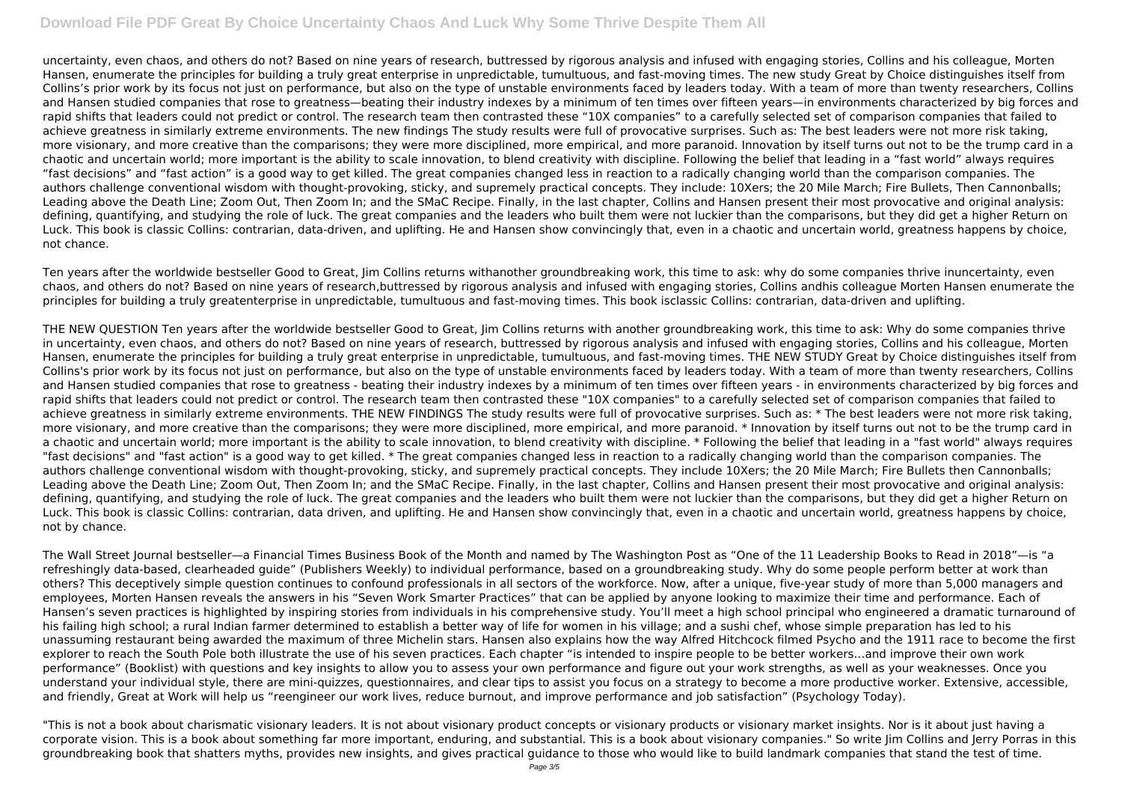## **Download File PDF Great By Choice Uncertainty Chaos And Luck Why Some Thrive Despite Them All**

uncertainty, even chaos, and others do not? Based on nine years of research, buttressed by rigorous analysis and infused with engaging stories, Collins and his colleague, Morten Hansen, enumerate the principles for building a truly great enterprise in unpredictable, tumultuous, and fast-moving times. The new study Great by Choice distinguishes itself from Collins's prior work by its focus not just on performance, but also on the type of unstable environments faced by leaders today. With a team of more than twenty researchers, Collins and Hansen studied companies that rose to greatness—beating their industry indexes by a minimum of ten times over fifteen years—in environments characterized by big forces and rapid shifts that leaders could not predict or control. The research team then contrasted these "10X companies" to a carefully selected set of comparison companies that failed to achieve greatness in similarly extreme environments. The new findings The study results were full of provocative surprises. Such as: The best leaders were not more risk taking, more visionary, and more creative than the comparisons; they were more disciplined, more empirical, and more paranoid. Innovation by itself turns out not to be the trump card in a chaotic and uncertain world; more important is the ability to scale innovation, to blend creativity with discipline. Following the belief that leading in a "fast world" always requires "fast decisions" and "fast action" is a good way to get killed. The great companies changed less in reaction to a radically changing world than the comparison companies. The authors challenge conventional wisdom with thought-provoking, sticky, and supremely practical concepts. They include: 10Xers; the 20 Mile March; Fire Bullets, Then Cannonballs; Leading above the Death Line; Zoom Out, Then Zoom In; and the SMaC Recipe. Finally, in the last chapter, Collins and Hansen present their most provocative and original analysis: defining, quantifying, and studying the role of luck. The great companies and the leaders who built them were not luckier than the comparisons, but they did get a higher Return on Luck. This book is classic Collins: contrarian, data-driven, and uplifting. He and Hansen show convincingly that, even in a chaotic and uncertain world, greatness happens by choice, not chance.

Ten years after the worldwide bestseller Good to Great, Jim Collins returns withanother groundbreaking work, this time to ask: why do some companies thrive inuncertainty, even chaos, and others do not? Based on nine years of research,buttressed by rigorous analysis and infused with engaging stories, Collins andhis colleague Morten Hansen enumerate the principles for building a truly greatenterprise in unpredictable, tumultuous and fast-moving times. This book isclassic Collins: contrarian, data-driven and uplifting.

"This is not a book about charismatic visionary leaders. It is not about visionary products or visionary market insights. Nor is it about just having a corporate vision. This is a book about something far more important, enduring, and substantial. This is a book about visionary companies." So write Jim Collins and Jerry Porras in this groundbreaking book that shatters myths, provides new insights, and gives practical guidance to those who would like to build landmark companies that stand the test of time.

THE NEW QUESTION Ten years after the worldwide bestseller Good to Great, Jim Collins returns with another groundbreaking work, this time to ask: Why do some companies thrive in uncertainty, even chaos, and others do not? Based on nine years of research, buttressed by rigorous analysis and infused with engaging stories, Collins and his colleague, Morten Hansen, enumerate the principles for building a truly great enterprise in unpredictable, tumultuous, and fast-moving times. THE NEW STUDY Great by Choice distinguishes itself from Collins's prior work by its focus not just on performance, but also on the type of unstable environments faced by leaders today. With a team of more than twenty researchers, Collins and Hansen studied companies that rose to greatness - beating their industry indexes by a minimum of ten times over fifteen years - in environments characterized by big forces and rapid shifts that leaders could not predict or control. The research team then contrasted these "10X companies" to a carefully selected set of comparison companies that failed to achieve greatness in similarly extreme environments. THE NEW FINDINGS The study results were full of provocative surprises. Such as: \* The best leaders were not more risk taking, more visionary, and more creative than the comparisons; they were more disciplined, more empirical, and more paranoid. \* Innovation by itself turns out not to be the trump card in a chaotic and uncertain world; more important is the ability to scale innovation, to blend creativity with discipline. \* Following the belief that leading in a "fast world" always requires "fast decisions" and "fast action" is a good way to get killed. \* The great companies changed less in reaction to a radically changing world than the comparison companies. The authors challenge conventional wisdom with thought-provoking, sticky, and supremely practical concepts. They include 10Xers; the 20 Mile March; Fire Bullets then Cannonballs; Leading above the Death Line; Zoom Out, Then Zoom In; and the SMaC Recipe. Finally, in the last chapter, Collins and Hansen present their most provocative and original analysis: defining, quantifying, and studying the role of luck. The great companies and the leaders who built them were not luckier than the comparisons, but they did get a higher Return on Luck. This book is classic Collins: contrarian, data driven, and uplifting. He and Hansen show convincingly that, even in a chaotic and uncertain world, greatness happens by choice, not by chance.

The Wall Street Journal bestseller—a Financial Times Business Book of the Month and named by The Washington Post as "One of the 11 Leadership Books to Read in 2018"—is "a refreshingly data-based, clearheaded guide" (Publishers Weekly) to individual performance, based on a groundbreaking study. Why do some people perform better at work than others? This deceptively simple question continues to confound professionals in all sectors of the workforce. Now, after a unique, five-year study of more than 5,000 managers and employees, Morten Hansen reveals the answers in his "Seven Work Smarter Practices" that can be applied by anyone looking to maximize their time and performance. Each of Hansen's seven practices is highlighted by inspiring stories from individuals in his comprehensive study. You'll meet a high school principal who engineered a dramatic turnaround of his failing high school; a rural Indian farmer determined to establish a better way of life for women in his village; and a sushi chef, whose simple preparation has led to his unassuming restaurant being awarded the maximum of three Michelin stars. Hansen also explains how the way Alfred Hitchcock filmed Psycho and the 1911 race to become the first explorer to reach the South Pole both illustrate the use of his seven practices. Each chapter "is intended to inspire people to be better workers…and improve their own work performance" (Booklist) with questions and key insights to allow you to assess your own performance and figure out your work strengths, as well as your weaknesses. Once you understand your individual style, there are mini-quizzes, questionnaires, and clear tips to assist you focus on a strategy to become a more productive worker. Extensive, accessible, and friendly, Great at Work will help us "reengineer our work lives, reduce burnout, and improve performance and job satisfaction" (Psychology Today).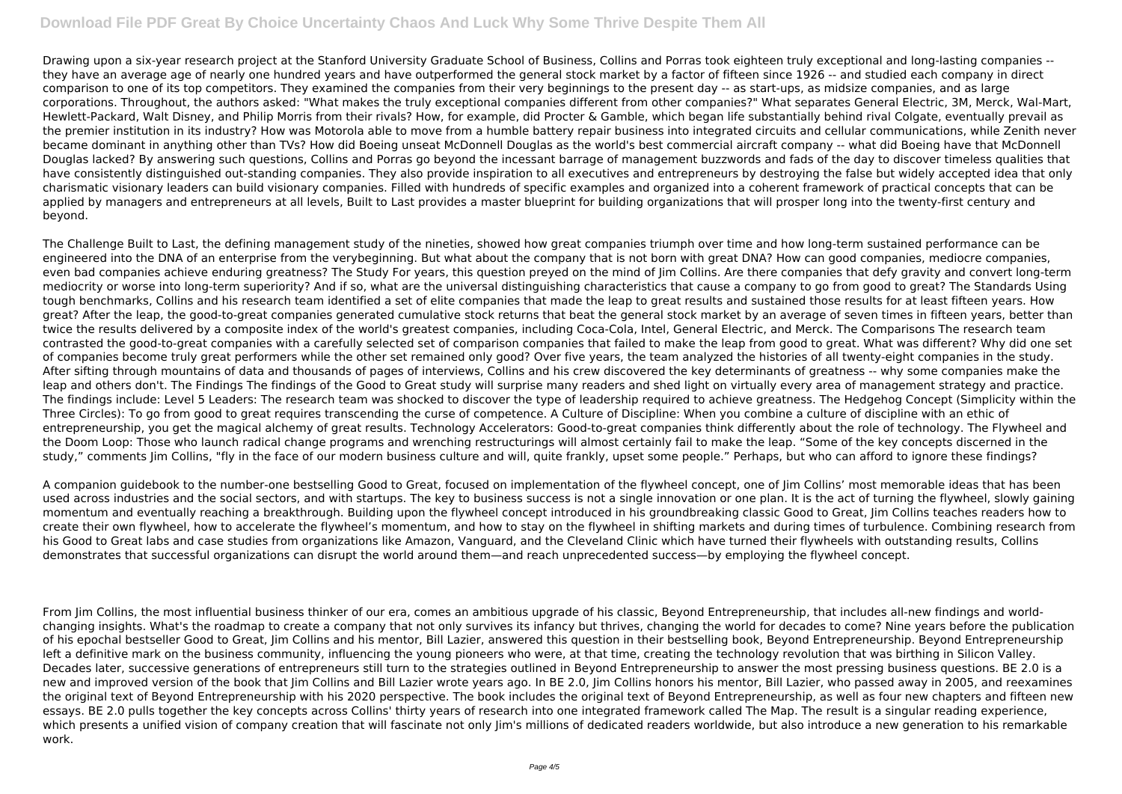## **Download File PDF Great By Choice Uncertainty Chaos And Luck Why Some Thrive Despite Them All**

Drawing upon a six-year research project at the Stanford University Graduate School of Business, Collins and Porras took eighteen truly exceptional and long-lasting companies - they have an average age of nearly one hundred years and have outperformed the general stock market by a factor of fifteen since 1926 -- and studied each company in direct comparison to one of its top competitors. They examined the companies from their very beginnings to the present day -- as start-ups, as midsize companies, and as large corporations. Throughout, the authors asked: "What makes the truly exceptional companies different from other companies?" What separates General Electric, 3M, Merck, Wal-Mart, Hewlett-Packard, Walt Disney, and Philip Morris from their rivals? How, for example, did Procter & Gamble, which began life substantially behind rival Colgate, eventually prevail as the premier institution in its industry? How was Motorola able to move from a humble battery repair business into integrated circuits and cellular communications, while Zenith never became dominant in anything other than TVs? How did Boeing unseat McDonnell Douglas as the world's best commercial aircraft company -- what did Boeing have that McDonnell Douglas lacked? By answering such questions, Collins and Porras go beyond the incessant barrage of management buzzwords and fads of the day to discover timeless qualities that have consistently distinguished out-standing companies. They also provide inspiration to all executives and entrepreneurs by destroying the false but widely accepted idea that only charismatic visionary leaders can build visionary companies. Filled with hundreds of specific examples and organized into a coherent framework of practical concepts that can be applied by managers and entrepreneurs at all levels, Built to Last provides a master blueprint for building organizations that will prosper long into the twenty-first century and beyond.

The Challenge Built to Last, the defining management study of the nineties, showed how great companies triumph over time and how long-term sustained performance can be engineered into the DNA of an enterprise from the verybeginning. But what about the company that is not born with great DNA? How can good companies, mediocre companies, even bad companies achieve enduring greatness? The Study For years, this question preyed on the mind of Jim Collins. Are there companies that defy gravity and convert long-term mediocrity or worse into long-term superiority? And if so, what are the universal distinguishing characteristics that cause a company to go from good to great? The Standards Using tough benchmarks, Collins and his research team identified a set of elite companies that made the leap to great results and sustained those results for at least fifteen years. How great? After the leap, the good-to-great companies generated cumulative stock returns that beat the general stock market by an average of seven times in fifteen years, better than twice the results delivered by a composite index of the world's greatest companies, including Coca-Cola, Intel, General Electric, and Merck. The Comparisons The research team contrasted the good-to-great companies with a carefully selected set of comparison companies that failed to make the leap from good to great. What was different? Why did one set of companies become truly great performers while the other set remained only good? Over five years, the team analyzed the histories of all twenty-eight companies in the study. After sifting through mountains of data and thousands of pages of interviews, Collins and his crew discovered the key determinants of greatness -- why some companies make the leap and others don't. The Findings The findings of the Good to Great study will surprise many readers and shed light on virtually every area of management strategy and practice. The findings include: Level 5 Leaders: The research team was shocked to discover the type of leadership required to achieve greatness. The Hedgehog Concept (Simplicity within the Three Circles): To go from good to great requires transcending the curse of competence. A Culture of Discipline: When you combine a culture of discipline with an ethic of entrepreneurship, you get the magical alchemy of great results. Technology Accelerators: Good-to-great companies think differently about the role of technology. The Flywheel and the Doom Loop: Those who launch radical change programs and wrenching restructurings will almost certainly fail to make the leap. "Some of the key concepts discerned in the study," comments Jim Collins, "fly in the face of our modern business culture and will, quite frankly, upset some people." Perhaps, but who can afford to ignore these findings?

A companion guidebook to the number-one bestselling Good to Great, focused on implementation of the flywheel concept, one of Jim Collins' most memorable ideas that has been used across industries and the social sectors, and with startups. The key to business success is not a single innovation or one plan. It is the act of turning the flywheel, slowly gaining momentum and eventually reaching a breakthrough. Building upon the flywheel concept introduced in his groundbreaking classic Good to Great, Jim Collins teaches readers how to create their own flywheel, how to accelerate the flywheel's momentum, and how to stay on the flywheel in shifting markets and during times of turbulence. Combining research from his Good to Great labs and case studies from organizations like Amazon, Vanguard, and the Cleveland Clinic which have turned their flywheels with outstanding results, Collins demonstrates that successful organizations can disrupt the world around them—and reach unprecedented success—by employing the flywheel concept.

From Jim Collins, the most influential business thinker of our era, comes an ambitious upgrade of his classic, Beyond Entrepreneurship, that includes all-new findings and worldchanging insights. What's the roadmap to create a company that not only survives its infancy but thrives, changing the world for decades to come? Nine years before the publication of his epochal bestseller Good to Great, Jim Collins and his mentor, Bill Lazier, answered this question in their bestselling book, Beyond Entrepreneurship. Beyond Entrepreneurship left a definitive mark on the business community, influencing the young pioneers who were, at that time, creating the technology revolution that was birthing in Silicon Valley. Decades later, successive generations of entrepreneurs still turn to the strategies outlined in Beyond Entrepreneurship to answer the most pressing business questions. BE 2.0 is a new and improved version of the book that Jim Collins and Bill Lazier wrote years ago. In BE 2.0, Jim Collins honors his mentor, Bill Lazier, who passed away in 2005, and reexamines the original text of Beyond Entrepreneurship with his 2020 perspective. The book includes the original text of Beyond Entrepreneurship, as well as four new chapters and fifteen new essays. BE 2.0 pulls together the key concepts across Collins' thirty years of research into one integrated framework called The Map. The result is a singular reading experience, which presents a unified vision of company creation that will fascinate not only Jim's millions of dedicated readers worldwide, but also introduce a new generation to his remarkable work.